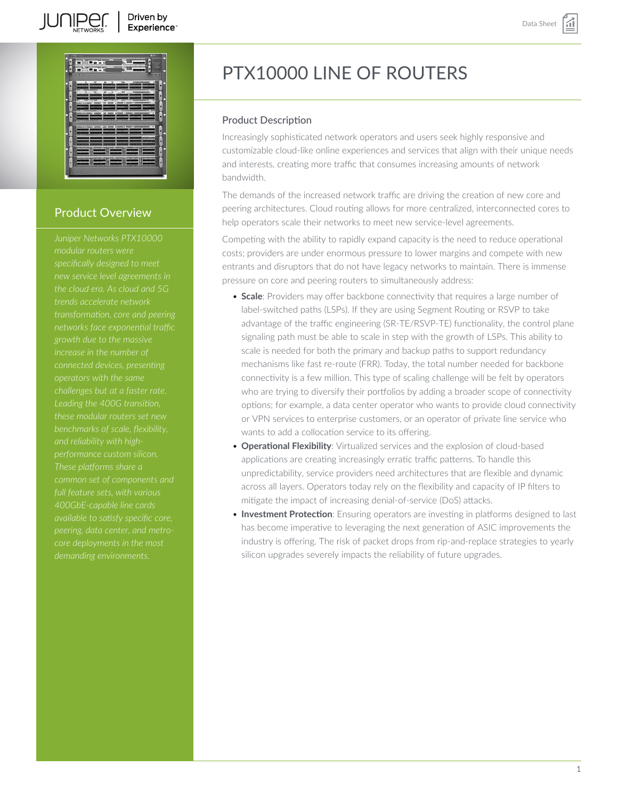

# Product Overview

*Juniper Networks PTX10000 specifically designed to meet trends accelerate network transformation, core and peering networks face exponential traffic growth due to the massive connected devices, presenting challenges but at a faster rate. Leading the 400G transition, 400GbE-capable line cards available to satisfy specific core, peering, data center, and metrodemanding environments.*

# PTX10000 LINE OF ROUTERS

# Product Description

Increasingly sophisticated network operators and users seek highly responsive and customizable cloud-like online experiences and services that align with their unique needs and interests, creating more traffic that consumes increasing amounts of network bandwidth.

The demands of the increased network traffic are driving the creation of new core and peering architectures. Cloud routing allows for more centralized, interconnected cores to help operators scale their networks to meet new service-level agreements.

Competing with the ability to rapidly expand capacity is the need to reduce operational costs; providers are under enormous pressure to lower margins and compete with new entrants and disruptors that do not have legacy networks to maintain. There is immense pressure on core and peering routers to simultaneously address:

- **Scale**: Providers may offer backbone connectivity that requires a large number of label-switched paths (LSPs). If they are using Segment Routing or RSVP to take advantage of the traffic engineering (SR-TE/RSVP-TE) functionality, the control plane signaling path must be able to scale in step with the growth of LSPs. This ability to scale is needed for both the primary and backup paths to support redundancy mechanisms like fast re-route (FRR). Today, the total number needed for backbone connectivity is a few million. This type of scaling challenge will be felt by operators who are trying to diversify their portfolios by adding a broader scope of connectivity options; for example, a data center operator who wants to provide cloud connectivity or VPN services to enterprise customers, or an operator of private line service who wants to add a collocation service to its offering.
- **Operational Flexibility**: Virtualized services and the explosion of cloud-based applications are creating increasingly erratic traffic patterns. To handle this unpredictability, service providers need architectures that are flexible and dynamic across all layers. Operators today rely on the flexibility and capacity of IP filters to mitigate the impact of increasing denial-of-service (DoS) attacks.
- **Investment Protection**: Ensuring operators are investing in platforms designed to last has become imperative to leveraging the next generation of ASIC improvements the industry is offering. The risk of packet drops from rip-and-replace strategies to yearly silicon upgrades severely impacts the reliability of future upgrades.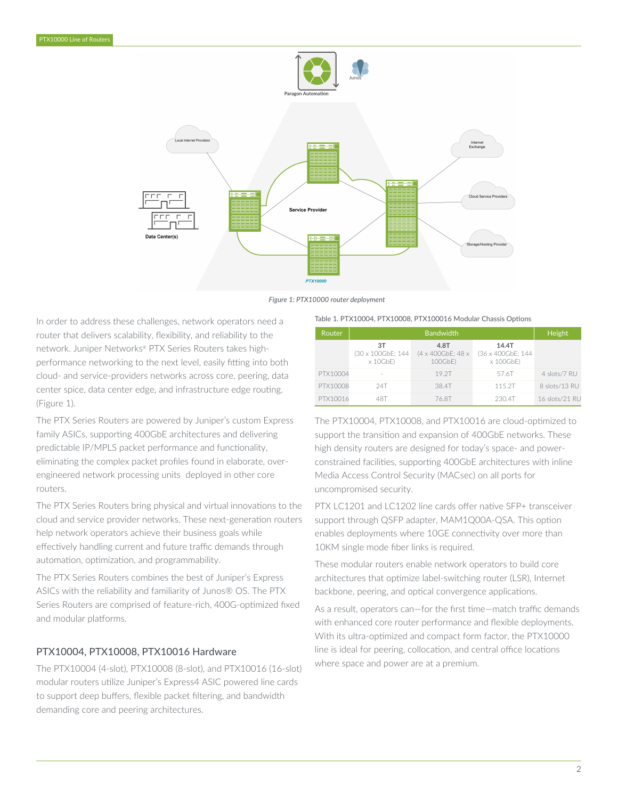

*Figure 1: PTX10000 router deployment*

In order to address these challenges, network operators need a router that delivers scalability, flexibility, and reliability to the network. Juniper Networks® PTX Series Routers takes highperformance networking to the next level, easily fitting into both cloud- and service-providers networks across core, peering, data center spice, data center edge, and infrastructure edge routing. (Figure 1).

The PTX Series Routers are powered by Juniper's custom Express family ASICs, supporting 400GbE architectures and delivering predictable IP/MPLS packet performance and functionality, eliminating the complex packet profiles found in elaborate, overengineered network processing units deployed in other core routers.

The PTX Series Routers bring physical and virtual innovations to the cloud and service provider networks. These next-generation routers help network operators achieve their business goals while effectively handling current and future traffic demands through automation, optimization, and programmability.

The PTX Series Routers combines the best of Juniper's Express ASICs with the reliability and familiarity of Junos® OS. The PTX Series Routers are comprised of feature-rich, 400G-optimized fixed and modular platforms.

# PTX10004, PTX10008, PTX10016 Hardware

The PTX10004 (4-slot), PTX10008 (8-slot), and PTX10016 (16-slot) modular routers utilize Juniper's Express4 ASIC powered line cards to support deep buffers, flexible packet filtering, and bandwidth demanding core and peering architectures.

#### Table 1. PTX10004, PTX10008, PTX100016 Modular Chassis Options

| Router   | <b>Bandwidth</b>                            |                                      |                                                 | Height         |
|----------|---------------------------------------------|--------------------------------------|-------------------------------------------------|----------------|
|          | ЗT<br>(30 x 100GbE: 144)<br>$\times$ 10GbE) | 4.8T<br>(4 x 400GbE: 48 x<br>100GbE) | 14.4T<br>(36 x 400GbE: 144)<br>$\times$ 100GbE) |                |
| PTX10004 |                                             | 19 2T                                | 57.6T                                           | 4 slots/7 RU   |
| PTX10008 |                                             | 38 4T                                | 115 2T                                          | 8 slots/13 RU  |
| PTX10016 |                                             | 76 8T                                | 230.4T                                          | 16 slots/21 RU |

The PTX10004, PTX10008, and PTX10016 are cloud-optimized to support the transition and expansion of 400GbE networks. These high density routers are designed for today's space- and powerconstrained facilities, supporting 400GbE architectures with inline Media Access Control Security (MACsec) on all ports for uncompromised security.

PTX LC1201 and LC1202 line cards offer native SFP+ transceiver support through QSFP adapter, MAM1Q00A-QSA. This option enables deployments where 10GE connectivity over more than 10KM single mode fiber links is required.

These modular routers enable network operators to build core architectures that optimize label-switching router (LSR), Internet backbone, peering, and optical convergence applications.

As a result, operators can—for the first time—match traffic demands with enhanced core router performance and flexible deployments. With its ultra-optimized and compact form factor, the PTX10000 line is ideal for peering, collocation, and central office locations where space and power are at a premium.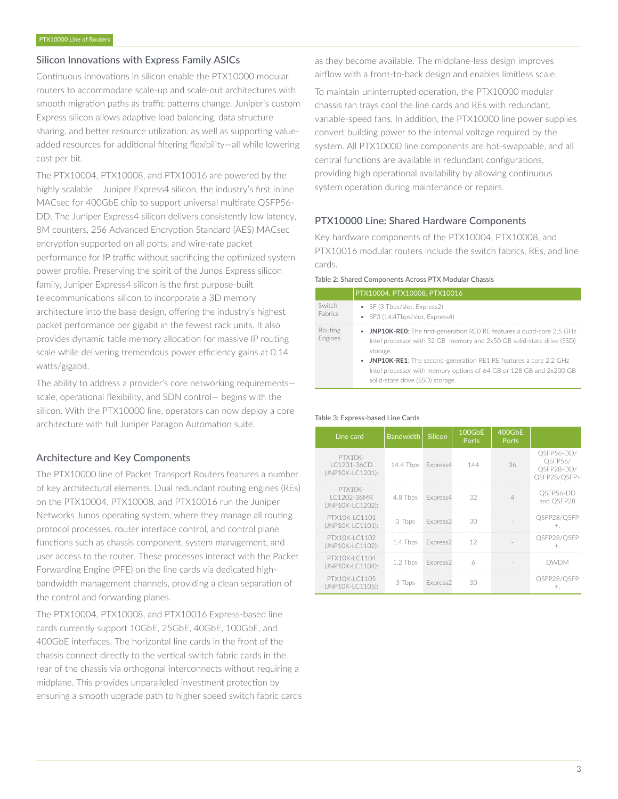# Silicon Innovations with Express Family ASICs

Continuous innovations in silicon enable the PTX10000 modular routers to accommodate scale-up and scale-out architectures with smooth migration paths as traffic patterns change. Juniper's custom Express silicon allows adaptive load balancing, data structure sharing, and better resource utilization, as well as supporting valueadded resources for additional filtering flexibility—all while lowering cost per bit.

The PTX10004, PTX10008, and PTX10016 are powered by the highly scalable Juniper Express4 silicon, the industry's first inline MACsec for 400GbE chip to support universal multirate QSFP56- DD. The Juniper Express4 silicon delivers consistently low latency, 8M counters, 256 Advanced Encryption Standard (AES) MACsec encryption supported on all ports, and wire-rate packet performance for IP traffic without sacrificing the optimized system power profile. Preserving the spirit of the Junos Express silicon family, Juniper Express4 silicon is the first purpose-built telecommunications silicon to incorporate a 3D memory architecture into the base design, offering the industry's highest packet performance per gigabit in the fewest rack units. It also provides dynamic table memory allocation for massive IP routing scale while delivering tremendous power efficiency gains at 0.14 watts/gigabit.

The ability to address a provider's core networking requirements scale, operational flexibility, and SDN control— begins with the silicon. With the PTX10000 line, operators can now deploy a core architecture with full Juniper Paragon Automation suite.

# Architecture and Key Components

The PTX10000 line of Packet Transport Routers features a number of key architectural elements. Dual redundant routing engines (REs) on the PTX10004, PTX10008, and PTX10016 run the Juniper Networks Junos operating system, where they manage all routing protocol processes, router interface control, and control plane functions such as chassis component, system management, and user access to the router. These processes interact with the Packet Forwarding Engine (PFE) on the line cards via dedicated highbandwidth management channels, providing a clean separation of the control and forwarding planes.

The PTX10004, PTX10008, and PTX10016 Express-based line cards currently support 10GbE, 25GbE, 40GbE, 100GbE, and 400GbE interfaces. The horizontal line cards in the front of the chassis connect directly to the vertical switch fabric cards in the rear of the chassis via orthogonal interconnects without requiring a midplane. This provides unparalleled investment protection by ensuring a smooth upgrade path to higher speed switch fabric cards as they become available. The midplane-less design improves airflow with a front-to-back design and enables limitless scale.

To maintain uninterrupted operation, the PTX10000 modular chassis fan trays cool the line cards and REs with redundant, variable-speed fans. In addition, the PTX10000 line power supplies convert building power to the internal voltage required by the system. All PTX10000 line components are hot-swappable, and all central functions are available in redundant configurations, providing high operational availability by allowing continuous system operation during maintenance or repairs.

# PTX10000 Line: Shared Hardware Components

Key hardware components of the PTX10004, PTX10008, and PTX10016 modular routers include the switch fabrics, REs, and line cards.

|  | Table 2: Shared Components Across PTX Modular Chassis |
|--|-------------------------------------------------------|
|--|-------------------------------------------------------|

|                          | PTX10004, PTX10008, PTX10016                                                                                                                                                                                                                                                                                                                 |
|--------------------------|----------------------------------------------------------------------------------------------------------------------------------------------------------------------------------------------------------------------------------------------------------------------------------------------------------------------------------------------|
| Switch<br><b>Eabrics</b> | • SF (3 Tbps/slot, Express2)<br>• SF3 (14.4Tbps/slot, Express4)                                                                                                                                                                                                                                                                              |
| Routing<br>Engines       | • JNP10K-REO: The first-generation REO RE features a quad-core 2.5 GHz<br>Intel processor with 32 GB memory and 2x50 GB solid-state drive (SSD)<br>storage.<br>• JNP10K-RE1: The second-generation RE1 RE features a core 2.2 GHz<br>Intel processor with memory options of 64 GB or 128 GB and 2x200 GB<br>solid-state drive (SSD) storage. |

#### Table 3: Express-based Line Cards

| Line card                                  | <b>Bandwidth</b> | Silicon  | 100GbE<br>Ports | 400GbE<br>Ports |                                                     |
|--------------------------------------------|------------------|----------|-----------------|-----------------|-----------------------------------------------------|
| PTX10K-<br>LC1201-36CD<br>(JNP10K-LC1201): | 14.4 Tbps        | Express4 | 144             | 36              | QSFP56-DD/<br>OSFP56/<br>OSFP28-DD/<br>OSFP28/OSFP+ |
| PTX10K-<br>LC1202-36MR<br>(JNP10K-LC1202): | 4.8 Tbps         | Express4 | 32              | Δ               | QSFP56-DD<br>and OSFP28                             |
| PTX10K-LC1101<br>(JNP10K-LC1101):          | 3 Tbps           | Express2 | 30              |                 | QSFP28/QSFP<br>$+$                                  |
| PTX10K-LC1102<br>(JNP10K-LC1102):          | 1.4 Tbps         | Express2 | 12              |                 | QSFP28/QSFP<br>$+$ .                                |
| PTX10K-LC1104<br>(JNP10K-LC1104):          | 1.2 Tbps         | Express2 | 6               |                 | <b>DWDM</b>                                         |
| PTX10K-LC1105<br>(JNP10K-LC1105):          | 3 Tbps           | Express2 | 30              |                 | OSFP28/OSFP<br>$+$ .                                |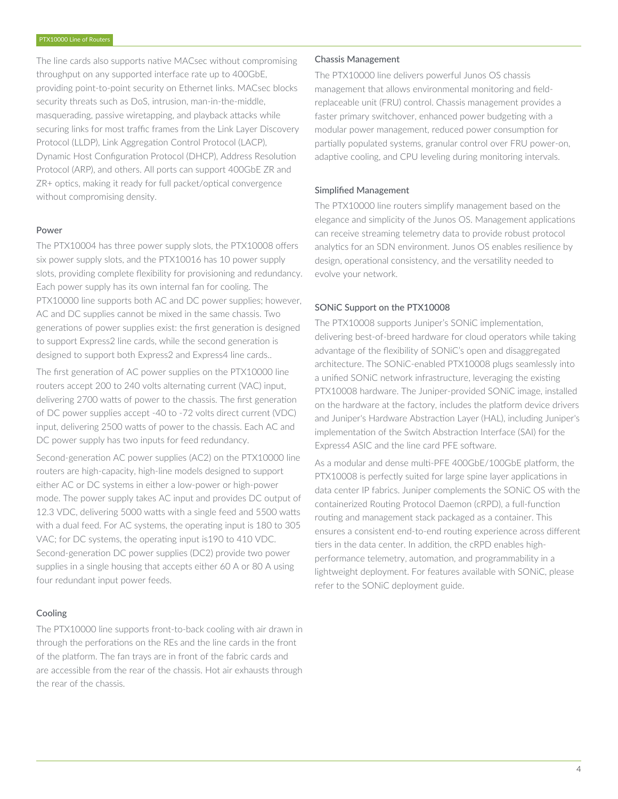The line cards also supports native MACsec without compromising throughput on any supported interface rate up to 400GbE, providing point-to-point security on Ethernet links. MACsec blocks security threats such as DoS, intrusion, man-in-the-middle, masquerading, passive wiretapping, and playback attacks while securing links for most traffic frames from the Link Layer Discovery Protocol (LLDP), Link Aggregation Control Protocol (LACP), Dynamic Host Configuration Protocol (DHCP), Address Resolution Protocol (ARP), and others. All ports can support 400GbE ZR and ZR+ optics, making it ready for full packet/optical convergence without compromising density.

#### Power

The PTX10004 has three power supply slots, the PTX10008 offers six power supply slots, and the PTX10016 has 10 power supply slots, providing complete flexibility for provisioning and redundancy. Each power supply has its own internal fan for cooling. The PTX10000 line supports both AC and DC power supplies; however, AC and DC supplies cannot be mixed in the same chassis. Two generations of power supplies exist: the first generation is designed to support Express2 line cards, while the second generation is designed to support both Express2 and Express4 line cards..

The first generation of AC power supplies on the PTX10000 line routers accept 200 to 240 volts alternating current (VAC) input, delivering 2700 watts of power to the chassis. The first generation of DC power supplies accept -40 to -72 volts direct current (VDC) input, delivering 2500 watts of power to the chassis. Each AC and DC power supply has two inputs for feed redundancy.

Second-generation AC power supplies (AC2) on the PTX10000 line routers are high-capacity, high-line models designed to support either AC or DC systems in either a low-power or high-power mode. The power supply takes AC input and provides DC output of 12.3 VDC, delivering 5000 watts with a single feed and 5500 watts with a dual feed. For AC systems, the operating input is 180 to 305 VAC; for DC systems, the operating input is190 to 410 VDC. Second-generation DC power supplies (DC2) provide two power supplies in a single housing that accepts either 60 A or 80 A using four redundant input power feeds.

#### Cooling

The PTX10000 line supports front-to-back cooling with air drawn in through the perforations on the REs and the line cards in the front of the platform. The fan trays are in front of the fabric cards and are accessible from the rear of the chassis. Hot air exhausts through the rear of the chassis.

### Chassis Management

The PTX10000 line delivers powerful Junos OS chassis management that allows environmental monitoring and fieldreplaceable unit (FRU) control. Chassis management provides a faster primary switchover, enhanced power budgeting with a modular power management, reduced power consumption for partially populated systems, granular control over FRU power-on, adaptive cooling, and CPU leveling during monitoring intervals.

#### Simplified Management

The PTX10000 line routers simplify management based on the elegance and simplicity of the Junos OS. Management applications can receive streaming telemetry data to provide robust protocol analytics for an SDN environment. Junos OS enables resilience by design, operational consistency, and the versatility needed to evolve your network.

#### SONiC Support on the PTX10008

The PTX10008 supports Juniper's SONiC implementation, delivering best-of-breed hardware for cloud operators while taking advantage of the flexibility of SONiC's open and disaggregated architecture. The SONiC-enabled PTX10008 plugs seamlessly into a unified SONiC network infrastructure, leveraging the existing PTX10008 hardware. The Juniper-provided SONiC image, installed on the hardware at the factory, includes the platform device drivers and Juniper's Hardware Abstraction Layer (HAL), including Juniper's implementation of the Switch Abstraction Interface (SAI) for the Express4 ASIC and the line card PFE software.

As a modular and dense multi-PFE 400GbE/100GbE platform, the PTX10008 is perfectly suited for large spine layer applications in data center IP fabrics. Juniper complements the SONiC OS with the containerized Routing Protocol Daemon (cRPD), a full-function routing and management stack packaged as a container. This ensures a consistent end-to-end routing experience across different tiers in the data center. In addition, the cRPD enables highperformance telemetry, automation, and programmability in a lightweight deployment. For features available with SONiC, please refer to the SONiC deployment guide.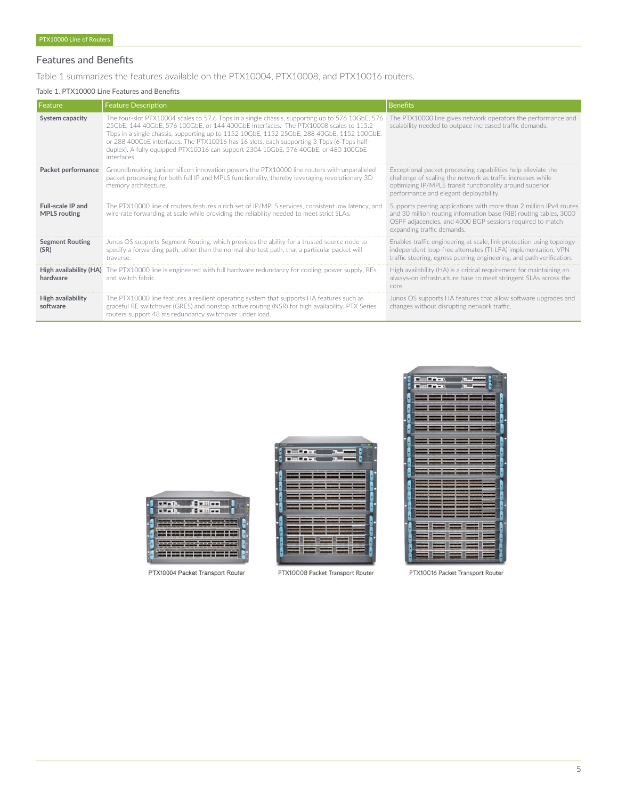# Features and Benefits

Table 1 summarizes the features available on the PTX10004, PTX10008, and PTX10016 routers.

# Table 1. PTX10000 Line Features and Benefits

| l Feature                                       | <b>Feature Description</b>                                                                                                                                                                                                                                                                                                                                                                                                                                                               | <b>Benefits</b>                                                                                                                                                                                                                     |
|-------------------------------------------------|------------------------------------------------------------------------------------------------------------------------------------------------------------------------------------------------------------------------------------------------------------------------------------------------------------------------------------------------------------------------------------------------------------------------------------------------------------------------------------------|-------------------------------------------------------------------------------------------------------------------------------------------------------------------------------------------------------------------------------------|
| System capacity                                 | The four-slot PTX10004 scales to 57.6 Tbps in a single chassis, supporting up to 576 10GbE, 576<br>25GbE, 144 40GbE, 576 100GbE, or 144 400GbE interfaces. The PTX10008 scales to 115.2<br>Tbps in a single chassis, supporting up to 1152 10GbE, 1152 25GbE, 288 40GbE, 1152 100GbE,<br>or 288 400GbE interfaces. The PTX10016 has 16 slots, each supporting 3 Tbps (6 Tbps half-<br>duplex). A fully equipped PTX10016 can support 2304 10GbE, 576 40GbE, or 480 100GbE<br>interfaces. | The PTX10000 line gives network operators the performance and<br>scalability needed to outpace increased traffic demands.                                                                                                           |
| Packet performance                              | Groundbreaking Juniper silicon innovation powers the PTX10000 line routers with unparalleled<br>packet processing for both full IP and MPLS functionality, thereby leveraging revolutionary 3D<br>memory architecture.                                                                                                                                                                                                                                                                   | Exceptional packet processing capabilities help alleviate the<br>challenge of scaling the network as traffic increases while<br>optimizing IP/MPLS transit functionality around superior<br>performance and elegant deployability.  |
| <b>Full-scale IP and</b><br><b>MPLS</b> routing | The PTX10000 line of routers features a rich set of IP/MPLS services, consistent low latency, and<br>wire-rate forwarding at scale while providing the reliability needed to meet strict SLAs.                                                                                                                                                                                                                                                                                           | Supports peering applications with more than 2 million IPv4 routes<br>and 30 million routing information base (RIB) routing tables, 3000<br>OSPF adjacencies, and 4000 BGP sessions required to match<br>expanding traffic demands. |
| <b>Segment Routing</b><br>(SR)                  | Junos OS supports Segment Routing, which provides the ability for a trusted source node to<br>specify a forwarding path, other than the normal shortest path, that a particular packet will<br>traverse.                                                                                                                                                                                                                                                                                 | Enables traffic engineering at scale, link protection using topology-<br>independent loop-free alternates (TI-LFA) implementation, VPN<br>traffic steering, egress peering engineering, and path verification.                      |
| High availability (HA)<br>hardware              | The PTX10000 line is engineered with full hardware redundancy for cooling, power supply, REs.<br>and switch fabric.                                                                                                                                                                                                                                                                                                                                                                      | High availability (HA) is a critical requirement for maintaining an<br>always-on infrastructure base to meet stringent SLAs across the<br>core.                                                                                     |
| High availability<br>software                   | The PTX10000 line features a resilient operating system that supports HA features such as<br>graceful RE switchover (GRES) and nonstop active routing (NSR) for high availability. PTX Series<br>routers support 48 ms redundancy switchover under load.                                                                                                                                                                                                                                 | Junos OS supports HA features that allow software upgrades and<br>changes without disrupting network traffic.                                                                                                                       |

| u                                                                                                                                      |  |
|----------------------------------------------------------------------------------------------------------------------------------------|--|
| e                                                                                                                                      |  |
|                                                                                                                                        |  |
| z<br>۰                                                                                                                                 |  |
| search<br>Play or lifted by lately or lifted at a final<br>WAS ARRESTED FOR DWOL. AND RESIDENCE AND RESIDENCE.<br><b>CAPTAINS</b><br>× |  |
|                                                                                                                                        |  |

PTX10004 Packet Transport Router

| mit mag            |  |
|--------------------|--|
|                    |  |
| $\alpha = -\alpha$ |  |
|                    |  |
|                    |  |
|                    |  |
|                    |  |
|                    |  |
|                    |  |
|                    |  |
|                    |  |
|                    |  |
|                    |  |
|                    |  |
|                    |  |
|                    |  |
|                    |  |
|                    |  |
|                    |  |
|                    |  |
|                    |  |
|                    |  |

PTX10008 Packet Transport Router



PTX10016 Packet Transport Router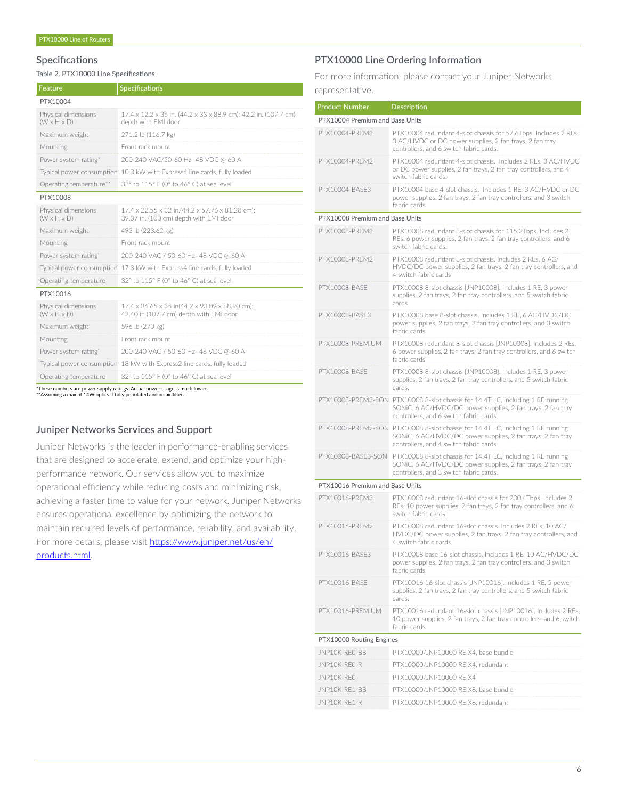# Specifications

Table 2. PTX10000 Line Specifications

| Feature                                        | <b>Specifications</b>                                                                     |
|------------------------------------------------|-------------------------------------------------------------------------------------------|
| PTX10004                                       |                                                                                           |
| Physical dimensions<br>$(W \times H \times D)$ | 17.4 x 12.2 x 35 in. (44.2 x 33 x 88.9 cm); 42.2 in. (107.7 cm)<br>depth with EMI door    |
| Maximum weight                                 | 271.2 lb (116.7 kg)                                                                       |
| Mounting                                       | Front rack mount                                                                          |
| Power system rating*                           | 200-240 VAC/50-60 Hz -48 VDC @ 60 A                                                       |
| Typical power consumption                      | 10.3 kW with Express4 line cards, fully loaded                                            |
| Operating temperature**                        | 32° to 115° F (0° to 46° C) at sea level                                                  |
| PTX10008                                       |                                                                                           |
| Physical dimensions<br>$(W \times H \times D)$ | 17.4 x 22.55 x 32 in.(44.2 x 57.76 x 81.28 cm);<br>39.37 in. (100 cm) depth with EMI door |
| Maximum weight                                 | 493 lb (223.62 kg)                                                                        |
| Mounting                                       | Front rack mount                                                                          |
| Power system rating <sup>®</sup>               | 200-240 VAC / 50-60 Hz -48 VDC @ 60 A                                                     |
| Typical power consumption                      | 17.3 kW with Express4 line cards, fully loaded                                            |
| Operating temperature                          | 32° to 115° F (0° to 46° C) at sea level                                                  |
| PTX10016                                       |                                                                                           |
| Physical dimensions<br>$(W \times H \times D)$ | 17.4 x 36.65 x 35 in(44.2 x 93.09 x 88.90 cm);<br>42.40 in (107.7 cm) depth with EMI door |
| Maximum weight                                 | 596 lb (270 kg)                                                                           |
| Mounting                                       | Front rack mount                                                                          |
| Power system rating'                           | 200-240 VAC / 50-60 Hz -48 VDC @ 60 A                                                     |
| Typical power consumption                      | 18 kW with Express2 line cards, fully loaded                                              |
| Operating temperature                          | 32° to 115° F (0° to 46° C) at sea level                                                  |

\*These numbers are power supply ratings. Actual power usage is much lower. \*\*Assuming a max of 14W optics if fully populated and no air filter.

# Juniper Networks Services and Support

Juniper Networks is the leader in performance-enabling services that are designed to accelerate, extend, and optimize your highperformance network. Our services allow you to maximize operational efficiency while reducing costs and minimizing risk, achieving a faster time to value for your network. Juniper Networks ensures operational excellence by optimizing the network to maintain required levels of performance, reliability, and availability. For more details, please visit [https://www.juniper.net/us/en/](https://www.juniper.net/us/en/products.html) [products.html.](https://www.juniper.net/us/en/products.html)

# PTX10000 Line Ordering Information

For more information, please contact your Juniper Networks representative.

|  | representative. |  |  |  |
|--|-----------------|--|--|--|
|  |                 |  |  |  |

| <b>Product Number</b>           | Description                                                                                                                                                                               |
|---------------------------------|-------------------------------------------------------------------------------------------------------------------------------------------------------------------------------------------|
| PTX10004 Premium and Base Units |                                                                                                                                                                                           |
| PTX10004-PREM3                  | PTX10004 redundant 4-slot chassis for 57.6Tbps. Includes 2 REs,<br>3 AC/HVDC or DC power supplies, 2 fan trays, 2 fan tray<br>controllers, and 6 switch fabric cards.                     |
| PTX10004-PREM2                  | PTX10004 redundant 4-slot chassis. Includes 2 REs, 3 AC/HVDC<br>or DC power supplies, 2 fan trays, 2 fan tray controllers, and 4<br>switch fabric cards.                                  |
| PTX10004-BASE3                  | PTX10004 base 4-slot chassis. Includes 1 RE, 3 AC/HVDC or DC<br>power supplies, 2 fan trays, 2 fan tray controllers, and 3 switch<br>fabric cards.                                        |
| PTX10008 Premium and Base Units |                                                                                                                                                                                           |
| PTX10008-PRFM3                  | PTX10008 redundant 8-slot chassis for 115.2Tbps. Includes 2<br>REs, 6 power supplies, 2 fan trays, 2 fan tray controllers, and 6<br>switch fabric cards.                                  |
| PTX10008-PREM2                  | PTX10008 redundant 8-slot chassis. Includes 2 REs, 6 AC/<br>HVDC/DC power supplies, 2 fan trays, 2 fan tray controllers, and<br>4 switch fabric cards                                     |
| PTX10008-BASE                   | PTX10008 8-slot chassis [JNP10008]. Includes 1 RE, 3 power<br>supplies, 2 fan trays, 2 fan tray controllers, and 5 switch fabric<br>cards                                                 |
| PTX10008-BASE3                  | PTX10008 base 8-slot chassis. Includes 1 RE, 6 AC/HVDC/DC<br>power supplies, 2 fan trays, 2 fan tray controllers, and 3 switch<br>fabric cards                                            |
| PTX10008-PREMIUM                | PTX10008 redundant 8-slot chassis [JNP10008]. Includes 2 REs,<br>6 power supplies, 2 fan trays, 2 fan tray controllers, and 6 switch<br>fabric cards.                                     |
| PTX10008-BASE                   | PTX10008 8-slot chassis [JNP10008]. Includes 1 RE, 3 power<br>supplies, 2 fan trays, 2 fan tray controllers, and 5 switch fabric<br>cards.                                                |
|                                 | PTX10008-PREM3-SON PTX10008 8-slot chassis for 14.4T LC, including 1 RE running<br>SONIC, 6 AC/HVDC/DC power supplies, 2 fan trays, 2 fan tray<br>controllers, and 6 switch fabric cards. |
|                                 | PTX10008-PREM2-SON PTX10008 8-slot chassis for 14.4T LC, including 1 RE running<br>SONIC, 6 AC/HVDC/DC power supplies, 2 fan trays, 2 fan tray<br>controllers, and 4 switch fabric cards. |
|                                 | PTX10008-BASE3-SON PTX10008 8-slot chassis for 14.4T LC, including 1 RE running<br>SONIC, 6 AC/HVDC/DC power supplies, 2 fan trays, 2 fan tray<br>controllers, and 3 switch fabric cards. |
| PTX10016 Premium and Base Units |                                                                                                                                                                                           |
| PTX10016-PREM3                  | PTX10008 redundant 16-slot chassis for 230.4Tbps. Includes 2<br>REs, 10 power supplies, 2 fan trays, 2 fan tray controllers, and 6<br>switch fabric cards.                                |
| PTX10016-PREM2                  | PTX10008 redundant 16-slot chassis. Includes 2 REs, 10 AC/<br>HVDC/DC power supplies, 2 fan trays, 2 fan tray controllers, and<br>4 switch fabric cards.                                  |
| PTX10016-BASE3                  | PTX10008 base 16-slot chassis. Includes 1 RE, 10 AC/HVDC/DC<br>power supplies, 2 fan trays, 2 fan tray controllers, and 3 switch<br>fabric cards.                                         |
| PTX10016-BASE                   | PTX10016 16-slot chassis [JNP10016]. Includes 1 RE, 5 power<br>supplies, 2 fan trays, 2 fan tray controllers, and 5 switch fabric<br>cards.                                               |
| PTX10016-PREMIUM                | PTX10016 redundant 16-slot chassis [JNP10016]. Includes 2 REs,<br>10 power supplies, 2 fan trays, 2 fan tray controllers, and 6 switch<br>fabric cards.                                   |
| PTX10000 Routing Engines        |                                                                                                                                                                                           |
| JNP10K-RE0-BB                   | PTX10000/JNP10000 RE X4, base bundle                                                                                                                                                      |
| JNP10K-RE0-R                    | PTX10000/JNP10000 RE X4, redundant                                                                                                                                                        |
| JNP10K-REO                      | PTX10000/JNP10000 RE X4                                                                                                                                                                   |
| JNP10K-RE1-BB                   | PTX10000/JNP10000 RE X8, base bundle                                                                                                                                                      |
| JNP10K-RE1-R                    | PTX10000/JNP10000 RE X8, redundant                                                                                                                                                        |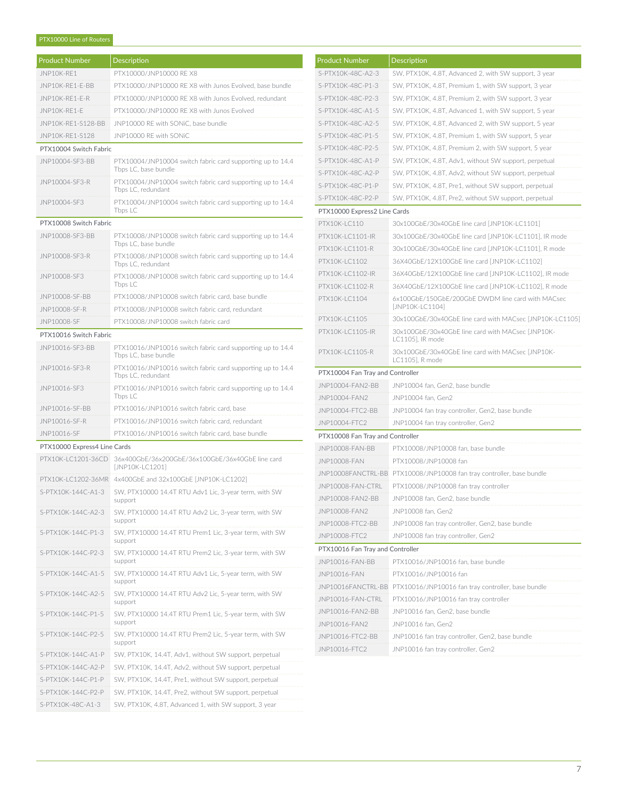# PTX10000 Line of Routers

| <b>Product Number</b>        | Description                                                                        |
|------------------------------|------------------------------------------------------------------------------------|
| JNP10K-RE1                   | PTX10000/JNP10000 RE X8                                                            |
| JNP10K-RE1-E-BB              | PTX10000/JNP10000 RE X8 with Junos Evolved, base bundle                            |
| JNP10K-RF1-F-R               | PTX10000/JNP10000 RF X8 with Junos Evolved, redundant                              |
| JNP10K-RE1-E                 | PTX10000/JNP10000 RE X8 with Junos Evolved                                         |
| JNP10K-RE1-S128-BB           | JNP10000 RE with SONiC, base bundle                                                |
| JNP10K-RE1-S128              | JNP10000 RE with SONiC                                                             |
| PTX10004 Switch Fabric       |                                                                                    |
| JNP10004-SE3-BB              | PTX10004/JNP10004 switch fabric card supporting up to 14.4<br>Tbps LC, base bundle |
| JNP10004-SF3-R               | PTX10004/JNP10004 switch fabric card supporting up to 14.4<br>Tbps LC, redundant   |
| JNP10004-SF3                 | PTX10004/JNP10004 switch fabric card supporting up to 14.4<br>Tbps LC              |
| PTX10008 Switch Fabric       |                                                                                    |
| JNP10008-SF3-BB              | PTX10008/JNP10008 switch fabric card supporting up to 14.4<br>Tbps LC, base bundle |
| JNP10008-SF3-R               | PTX10008/JNP10008 switch fabric card supporting up to 14.4<br>Tbps LC, redundant   |
| JNP10008-SE3                 | PTX10008/JNP10008 switch fabric card supporting up to 14.4<br>Tbps LC              |
| JNP10008-SF-BB               | PTX10008/JNP10008 switch fabric card, base bundle                                  |
| JNP10008-SF-R                | PTX10008/JNP10008 switch fabric card, redundant                                    |
| JNP10008-SF                  | PTX10008/JNP10008 switch fabric card                                               |
| PTX10016 Switch Fabric       |                                                                                    |
| JNP10016-SF3-BB              | PTX10016/JNP10016 switch fabric card supporting up to 14.4<br>Tbps LC, base bundle |
| JNP10016-SF3-R               | PTX10016/JNP10016 switch fabric card supporting up to 14.4<br>Tbps LC, redundant   |
| JNP10016-SF3                 | PTX10016/JNP10016 switch fabric card supporting up to 14.4<br>Tbps LC              |
| JNP10016-SF-BB               | PTX10016/JNP10016 switch fabric card, base                                         |
| JNP10016-SF-R                | PTX10016/JNP10016 switch fabric card, redundant                                    |
| JNP10016-SF                  | PTX10016/JNP10016 switch fabric card, base bundle                                  |
| PTX10000 Express4 Line Cards |                                                                                    |
| PTX10K-LC1201-36CD           | 36x400GbE/36x200GbE/36x100GbE/36x40GbE line card<br>[JNP10K-LC1201]                |
|                              | PTX10K-LC1202-36MR 4x400GbE and 32x100GbE [JNP10K-LC1202]                          |
| S-PTX10K-144C-A1-3           | SW, PTX10000 14.4T RTU Adv1 Lic, 3-year term, with SW<br>support                   |
| S-PTX10K-144C-A2-3           | SW, PTX10000 14.4T RTU Adv2 Lic, 3-year term, with SW<br>support                   |
| S-PTX10K-144C-P1-3           | SW, PTX10000 14.4T RTU Prem1 Lic, 3-year term, with SW<br>support                  |
| S-PTX10K-144C-P2-3           | SW. PTX10000 14.4T RTU Prem2 Lic. 3-year term, with SW<br>support                  |
| S-PTX10K-144C-A1-5           | SW, PTX10000 14.4T RTU Adv1 Lic, 5-year term, with SW<br>support                   |
| S-PTX10K-144C-A2-5           | SW, PTX10000 14.4T RTU Adv2 Lic, 5-year term, with SW<br>support                   |
| S-PTX10K-144C-P1-5           | SW, PTX10000 14.4T RTU Prem1 Lic, 5-year term, with SW<br>support                  |
| S-PTX10K-144C-P2-5           | SW, PTX10000 14.4T RTU Prem2 Lic, 5-year term, with SW<br>support                  |
| S-PTX10K-144C-A1-P           | SW, PTX10K, 14.4T, Adv1, without SW support, perpetual                             |
| S-PTX10K-144C-A2-P           | SW, PTX10K, 14.4T, Adv2, without SW support, perpetual                             |
| S-PTX10K-144C-P1-P           | SW, PTX10K, 14.4T, Pre1, without SW support, perpetual                             |
| S-PTX10K-144C-P2-P           | SW, PTX10K, 14.4T, Pre2, without SW support, perpetual                             |
| S-PTX10K-48C-A1-3            | SW, PTX10K, 4.8T, Advanced 1, with SW support, 3 year                              |

| <b>Product Number</b>            | <b>Description</b>                                                    |  |  |  |
|----------------------------------|-----------------------------------------------------------------------|--|--|--|
| S-PTX10K-48C-A2-3                | SW, PTX10K, 4.8T, Advanced 2, with SW support, 3 year                 |  |  |  |
| S-PTX10K-48C-P1-3                | SW, PTX10K, 4.8T, Premium 1, with SW support, 3 year                  |  |  |  |
| S-PTX10K-48C-P2-3                | SW, PTX10K, 4.8T, Premium 2, with SW support, 3 year                  |  |  |  |
| S-PTX10K-48C-A1-5                | SW, PTX10K, 4.8T, Advanced 1, with SW support, 5 year                 |  |  |  |
| S-PTX10K-48C-A2-5                | SW, PTX10K, 4.8T, Advanced 2, with SW support, 5 year                 |  |  |  |
| S-PTX10K-48C-P1-5                | SW, PTX10K, 4.8T, Premium 1, with SW support, 5 year                  |  |  |  |
| S-PTX10K-48C-P2-5                | SW, PTX10K, 4.8T, Premium 2, with SW support, 5 year                  |  |  |  |
| S-PTX10K-48C-A1-P                | SW, PTX10K, 4.8T, Adv1, without SW support, perpetual                 |  |  |  |
| S-PTX10K-48C-A2-P                | SW, PTX10K, 4.8T, Adv2, without SW support, perpetual                 |  |  |  |
| S-PTX10K-48C-P1-P                | SW, PTX10K, 4.8T, Pre1, without SW support, perpetual                 |  |  |  |
| S-PTX10K-48C-P2-P                | SW, PTX10K, 4.8T, Pre2, without SW support, perpetual                 |  |  |  |
| PTX10000 Express2 Line Cards     |                                                                       |  |  |  |
| PTX10K-LC110                     | 30x100GbE/30x40GbE line card [JNP10K-LC1101]                          |  |  |  |
| PTX10K-LC1101-IR                 | 30x100GbE/30x40GbE line card [JNP10K-LC1101], IR mode                 |  |  |  |
| PTX10K-LC1101-R                  | 30x100GbE/30x40GbE line card [JNP10K-LC1101], R mode                  |  |  |  |
| PTX10K-LC1102                    | 36X40GbE/12X100GbE line card [JNP10K-LC1102]                          |  |  |  |
| PTX10K-LC1102-IR                 | 36X40GbE/12X100GbE line card [JNP10K-LC1102], IR mode                 |  |  |  |
| PTX10K-LC1102-R                  | 36X40GbE/12X100GbE line card [JNP10K-LC1102], R mode                  |  |  |  |
| PTX10K-LC1104                    | 6x100GbE/150GbE/200GbE DWDM line card with MACsec                     |  |  |  |
|                                  | [JNP10K-LC1104]                                                       |  |  |  |
| PTX10K-LC1105                    | 30x100GbE/30x40GbE line card with MACsec [JNP10K-LC1105]              |  |  |  |
| PTX10K-LC1105-IR                 | 30x100GbE/30x40GbE line card with MACsec [JNP10K-<br>LC1105], IR mode |  |  |  |
| PTX10K-LC1105-R                  | 30x100GbE/30x40GbE line card with MACsec [JNP10K-<br>LC1105], R mode  |  |  |  |
| PTX10004 Fan Tray and Controller |                                                                       |  |  |  |
| JNP10004-FAN2-BB                 | JNP10004 fan, Gen2, base bundle                                       |  |  |  |
| JNP10004-FAN2                    | JNP10004 fan, Gen2                                                    |  |  |  |
| JNP10004-FTC2-BB                 | JNP10004 fan tray controller, Gen2, base bundle                       |  |  |  |
| JNP10004-FTC2                    | JNP10004 fan tray controller, Gen2                                    |  |  |  |
| PTX10008 Fan Tray and Controller |                                                                       |  |  |  |
| JNP10008-FAN-BB                  | PTX10008/JNP10008 fan, base bundle                                    |  |  |  |
| JNP10008-FAN                     | PTX10008/JNP10008 fan                                                 |  |  |  |
| JNP10008FANCTRL-BB               | PTX10008/JNP10008 fan tray controller, base bundle                    |  |  |  |
| JNP10008-FAN-CTRL                | PTX10008/JNP10008 fan tray controller                                 |  |  |  |
| JNP10008-FAN2-BB                 | JNP10008 fan, Gen2, base bundle                                       |  |  |  |
| JNP10008-FAN2                    | JNP10008 fan, Gen2                                                    |  |  |  |
| JNP10008-FTC2-BB                 | JNP10008 fan tray controller, Gen2, base bundle                       |  |  |  |
| JNP10008-FTC2                    | JNP10008 fan tray controller, Gen2                                    |  |  |  |
| PTX10016 Fan Tray and Controller |                                                                       |  |  |  |
| JNP10016-FAN-BB                  | PTX10016/JNP10016 fan, base bundle                                    |  |  |  |
| JNP10016-FAN                     | PTX10016/JNP10016 fan                                                 |  |  |  |
|                                  | JNP10016FANCTRL-BB PTX10016/JNP10016 fan tray controller, base bundle |  |  |  |
| JNP10016-FAN-CTRL                | PTX10016/JNP10016 fan tray controller                                 |  |  |  |
| JNP10016-FAN2-BB                 | JNP10016 fan, Gen2, base bundle                                       |  |  |  |
| JNP10016-FAN2                    | JNP10016 fan, Gen2                                                    |  |  |  |
| JNP10016-FTC2-BB                 | JNP10016 fan tray controller, Gen2, base bundle                       |  |  |  |
| JNP10016-FTC2                    | JNP10016 fan tray controller, Gen2                                    |  |  |  |
|                                  |                                                                       |  |  |  |